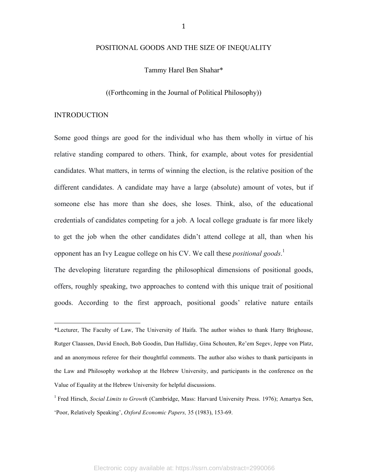### POSITIONAL GOODS AND THE SIZE OF INEQUALITY

Tammy Harel Ben Shahar\*

((Forthcoming in the Journal of Political Philosophy))

### INTRODUCTION

 

Some good things are good for the individual who has them wholly in virtue of his relative standing compared to others. Think, for example, about votes for presidential candidates. What matters, in terms of winning the election, is the relative position of the different candidates. A candidate may have a large (absolute) amount of votes, but if someone else has more than she does, she loses. Think, also, of the educational credentials of candidates competing for a job. A local college graduate is far more likely to get the job when the other candidates didn't attend college at all, than when his opponent has an Ivy League college on his CV. We call these *positional goods*. 1 The developing literature regarding the philosophical dimensions of positional goods,

offers, roughly speaking, two approaches to contend with this unique trait of positional goods. According to the first approach, positional goods' relative nature entails

<sup>\*</sup>Lecturer, The Faculty of Law, The University of Haifa. The author wishes to thank Harry Brighouse, Rutger Claassen, David Enoch, Bob Goodin, Dan Halliday, Gina Schouten, Re'em Segev, Jeppe von Platz, and an anonymous referee for their thoughtful comments. The author also wishes to thank participants in the Law and Philosophy workshop at the Hebrew University, and participants in the conference on the Value of Equality at the Hebrew University for helpful discussions.

<sup>&</sup>lt;sup>1</sup> Fred Hirsch, *Social Limits to Growth* (Cambridge, Mass: Harvard University Press. 1976); Amartya Sen, 'Poor, Relatively Speaking', *Oxford Economic Papers,* 35 (1983), 153-69.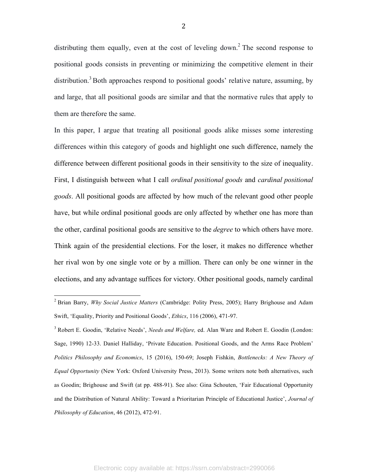distributing them equally, even at the cost of leveling down.<sup>2</sup> The second response to positional goods consists in preventing or minimizing the competitive element in their distribution.<sup>3</sup> Both approaches respond to positional goods' relative nature, assuming, by and large, that all positional goods are similar and that the normative rules that apply to them are therefore the same.

In this paper, I argue that treating all positional goods alike misses some interesting differences within this category of goods and highlight one such difference, namely the difference between different positional goods in their sensitivity to the size of inequality. First, I distinguish between what I call *ordinal positional goods* and *cardinal positional goods*. All positional goods are affected by how much of the relevant good other people have, but while ordinal positional goods are only affected by whether one has more than the other, cardinal positional goods are sensitive to the *degree* to which others have more. Think again of the presidential elections. For the loser, it makes no difference whether her rival won by one single vote or by a million. There can only be one winner in the elections, and any advantage suffices for victory. Other positional goods, namely cardinal

<sup>3</sup> Robert E. Goodin, 'Relative Needs', *Needs and Welfare,* ed. Alan Ware and Robert E. Goodin (London: Sage, 1990) 12-33. Daniel Halliday, 'Private Education. Positional Goods, and the Arms Race Problem' *Politics Philosophy and Economics*, 15 (2016), 150-69; Joseph Fishkin, *Bottlenecks: A New Theory of Equal Opportunity* (New York: Oxford University Press, 2013). Some writers note both alternatives, such as Goodin; Brighouse and Swift (at pp. 488-91). See also: Gina Schouten, 'Fair Educational Opportunity and the Distribution of Natural Ability: Toward a Prioritarian Principle of Educational Justice', *Journal of Philosophy of Education*, 46 (2012), 472-91.

 <sup>2</sup> Brian Barry, *Why Social Justice Matters* (Cambridge: Polity Press, 2005); Harry Brighouse and Adam Swift, 'Equality, Priority and Positional Goods', *Ethics*, 116 (2006), 471-97.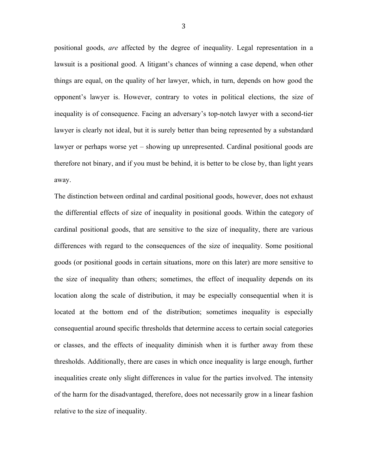positional goods, *are* affected by the degree of inequality. Legal representation in a lawsuit is a positional good. A litigant's chances of winning a case depend, when other things are equal, on the quality of her lawyer, which, in turn, depends on how good the opponent's lawyer is. However, contrary to votes in political elections, the size of inequality is of consequence. Facing an adversary's top-notch lawyer with a second-tier lawyer is clearly not ideal, but it is surely better than being represented by a substandard lawyer or perhaps worse yet – showing up unrepresented. Cardinal positional goods are therefore not binary, and if you must be behind, it is better to be close by, than light years away.

The distinction between ordinal and cardinal positional goods, however, does not exhaust the differential effects of size of inequality in positional goods. Within the category of cardinal positional goods, that are sensitive to the size of inequality, there are various differences with regard to the consequences of the size of inequality. Some positional goods (or positional goods in certain situations, more on this later) are more sensitive to the size of inequality than others; sometimes, the effect of inequality depends on its location along the scale of distribution, it may be especially consequential when it is located at the bottom end of the distribution; sometimes inequality is especially consequential around specific thresholds that determine access to certain social categories or classes, and the effects of inequality diminish when it is further away from these thresholds. Additionally, there are cases in which once inequality is large enough, further inequalities create only slight differences in value for the parties involved. The intensity of the harm for the disadvantaged, therefore, does not necessarily grow in a linear fashion relative to the size of inequality.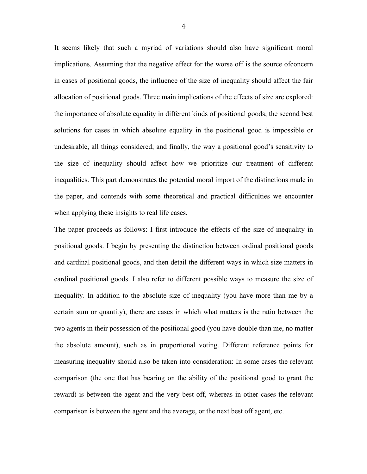It seems likely that such a myriad of variations should also have significant moral implications. Assuming that the negative effect for the worse off is the source ofconcern in cases of positional goods, the influence of the size of inequality should affect the fair allocation of positional goods. Three main implications of the effects of size are explored: the importance of absolute equality in different kinds of positional goods; the second best solutions for cases in which absolute equality in the positional good is impossible or undesirable, all things considered; and finally, the way a positional good's sensitivity to the size of inequality should affect how we prioritize our treatment of different inequalities. This part demonstrates the potential moral import of the distinctions made in the paper, and contends with some theoretical and practical difficulties we encounter when applying these insights to real life cases.

The paper proceeds as follows: I first introduce the effects of the size of inequality in positional goods. I begin by presenting the distinction between ordinal positional goods and cardinal positional goods, and then detail the different ways in which size matters in cardinal positional goods. I also refer to different possible ways to measure the size of inequality. In addition to the absolute size of inequality (you have more than me by a certain sum or quantity), there are cases in which what matters is the ratio between the two agents in their possession of the positional good (you have double than me, no matter the absolute amount), such as in proportional voting. Different reference points for measuring inequality should also be taken into consideration: In some cases the relevant comparison (the one that has bearing on the ability of the positional good to grant the reward) is between the agent and the very best off, whereas in other cases the relevant comparison is between the agent and the average, or the next best off agent, etc.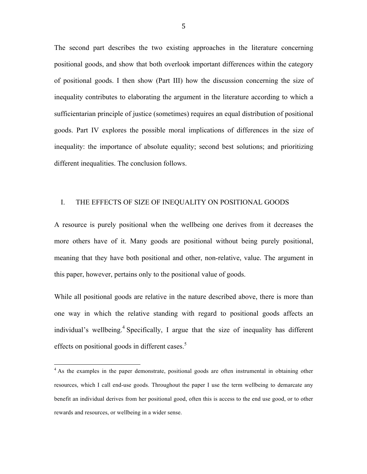The second part describes the two existing approaches in the literature concerning positional goods, and show that both overlook important differences within the category of positional goods. I then show (Part III) how the discussion concerning the size of inequality contributes to elaborating the argument in the literature according to which a sufficientarian principle of justice (sometimes) requires an equal distribution of positional goods. Part IV explores the possible moral implications of differences in the size of inequality: the importance of absolute equality; second best solutions; and prioritizing different inequalities. The conclusion follows.

### I. THE EFFECTS OF SIZE OF INEQUALITY ON POSITIONAL GOODS

A resource is purely positional when the wellbeing one derives from it decreases the more others have of it. Many goods are positional without being purely positional, meaning that they have both positional and other, non-relative, value. The argument in this paper, however, pertains only to the positional value of goods.

While all positional goods are relative in the nature described above, there is more than one way in which the relative standing with regard to positional goods affects an individual's wellbeing.<sup>4</sup> Specifically, I argue that the size of inequality has different effects on positional goods in different cases.<sup>5</sup>

<sup>&</sup>lt;sup>4</sup> As the examples in the paper demonstrate, positional goods are often instrumental in obtaining other resources, which I call end-use goods. Throughout the paper I use the term wellbeing to demarcate any benefit an individual derives from her positional good, often this is access to the end use good, or to other rewards and resources, or wellbeing in a wider sense.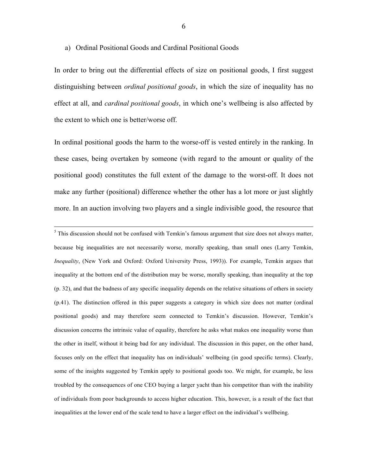### a) Ordinal Positional Goods and Cardinal Positional Goods

In order to bring out the differential effects of size on positional goods, I first suggest distinguishing between *ordinal positional goods*, in which the size of inequality has no effect at all, and *cardinal positional goods*, in which one's wellbeing is also affected by the extent to which one is better/worse off.

In ordinal positional goods the harm to the worse-off is vested entirely in the ranking. In these cases, being overtaken by someone (with regard to the amount or quality of the positional good) constitutes the full extent of the damage to the worst-off. It does not make any further (positional) difference whether the other has a lot more or just slightly more. In an auction involving two players and a single indivisible good, the resource that

 $<sup>5</sup>$  This discussion should not be confused with Temkin's famous argument that size does not always matter,</sup> because big inequalities are not necessarily worse, morally speaking, than small ones (Larry Temkin, *Inequality*, (New York and Oxford: Oxford University Press, 1993)). For example, Temkin argues that inequality at the bottom end of the distribution may be worse, morally speaking, than inequality at the top (p. 32), and that the badness of any specific inequality depends on the relative situations of others in society (p.41). The distinction offered in this paper suggests a category in which size does not matter (ordinal positional goods) and may therefore seem connected to Temkin's discussion. However, Temkin's discussion concerns the intrinsic value of equality, therefore he asks what makes one inequality worse than the other in itself, without it being bad for any individual. The discussion in this paper, on the other hand, focuses only on the effect that inequality has on individuals' wellbeing (in good specific terms). Clearly, some of the insights suggested by Temkin apply to positional goods too. We might, for example, be less troubled by the consequences of one CEO buying a larger yacht than his competitor than with the inability of individuals from poor backgrounds to access higher education. This, however, is a result of the fact that inequalities at the lower end of the scale tend to have a larger effect on the individual's wellbeing.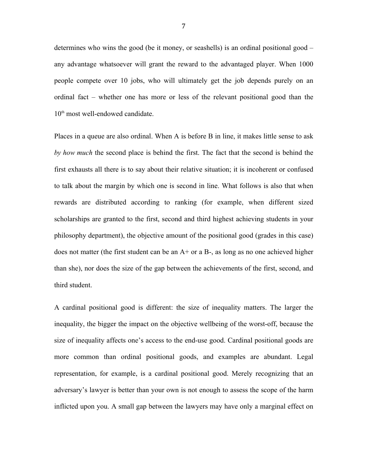determines who wins the good (be it money, or seashells) is an ordinal positional good – any advantage whatsoever will grant the reward to the advantaged player. When 1000 people compete over 10 jobs, who will ultimately get the job depends purely on an ordinal fact – whether one has more or less of the relevant positional good than the 10<sup>th</sup> most well-endowed candidate.

Places in a queue are also ordinal. When A is before B in line, it makes little sense to ask *by how much* the second place is behind the first. The fact that the second is behind the first exhausts all there is to say about their relative situation; it is incoherent or confused to talk about the margin by which one is second in line. What follows is also that when rewards are distributed according to ranking (for example, when different sized scholarships are granted to the first, second and third highest achieving students in your philosophy department), the objective amount of the positional good (grades in this case) does not matter (the first student can be an A+ or a B-, as long as no one achieved higher than she), nor does the size of the gap between the achievements of the first, second, and third student.

A cardinal positional good is different: the size of inequality matters. The larger the inequality, the bigger the impact on the objective wellbeing of the worst-off, because the size of inequality affects one's access to the end-use good. Cardinal positional goods are more common than ordinal positional goods, and examples are abundant. Legal representation, for example, is a cardinal positional good. Merely recognizing that an adversary's lawyer is better than your own is not enough to assess the scope of the harm inflicted upon you. A small gap between the lawyers may have only a marginal effect on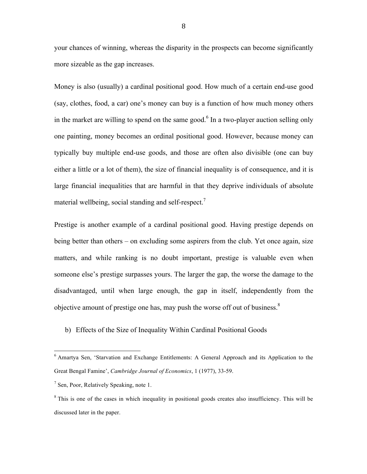your chances of winning, whereas the disparity in the prospects can become significantly more sizeable as the gap increases.

Money is also (usually) a cardinal positional good. How much of a certain end-use good (say, clothes, food, a car) one's money can buy is a function of how much money others in the market are willing to spend on the same good.<sup>6</sup> In a two-player auction selling only one painting, money becomes an ordinal positional good. However, because money can typically buy multiple end-use goods, and those are often also divisible (one can buy either a little or a lot of them), the size of financial inequality is of consequence, and it is large financial inequalities that are harmful in that they deprive individuals of absolute material wellbeing, social standing and self-respect.<sup>7</sup>

Prestige is another example of a cardinal positional good. Having prestige depends on being better than others – on excluding some aspirers from the club. Yet once again, size matters, and while ranking is no doubt important, prestige is valuable even when someone else's prestige surpasses yours. The larger the gap, the worse the damage to the disadvantaged, until when large enough, the gap in itself, independently from the objective amount of prestige one has, may push the worse off out of business.<sup>8</sup>

b) Effects of the Size of Inequality Within Cardinal Positional Goods

 <sup>6</sup> Amartya Sen, 'Starvation and Exchange Entitlements: A General Approach and its Application to the Great Bengal Famine', *Cambridge Journal of Economics*, 1 (1977), 33-59.

 $<sup>7</sup>$  Sen, Poor, Relatively Speaking, note 1.</sup>

<sup>&</sup>lt;sup>8</sup> This is one of the cases in which inequality in positional goods creates also insufficiency. This will be discussed later in the paper.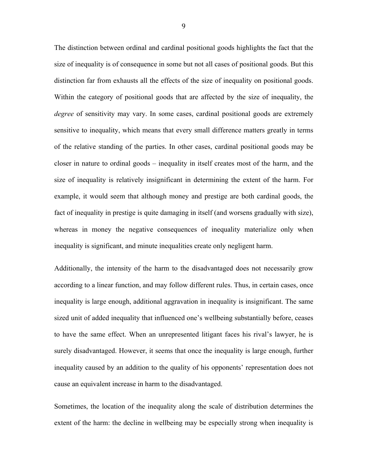The distinction between ordinal and cardinal positional goods highlights the fact that the size of inequality is of consequence in some but not all cases of positional goods. But this distinction far from exhausts all the effects of the size of inequality on positional goods. Within the category of positional goods that are affected by the size of inequality, the *degree* of sensitivity may vary. In some cases, cardinal positional goods are extremely sensitive to inequality, which means that every small difference matters greatly in terms of the relative standing of the parties. In other cases, cardinal positional goods may be closer in nature to ordinal goods – inequality in itself creates most of the harm, and the size of inequality is relatively insignificant in determining the extent of the harm. For example, it would seem that although money and prestige are both cardinal goods, the fact of inequality in prestige is quite damaging in itself (and worsens gradually with size), whereas in money the negative consequences of inequality materialize only when inequality is significant, and minute inequalities create only negligent harm.

Additionally, the intensity of the harm to the disadvantaged does not necessarily grow according to a linear function, and may follow different rules. Thus, in certain cases, once inequality is large enough, additional aggravation in inequality is insignificant. The same sized unit of added inequality that influenced one's wellbeing substantially before, ceases to have the same effect. When an unrepresented litigant faces his rival's lawyer, he is surely disadvantaged. However, it seems that once the inequality is large enough, further inequality caused by an addition to the quality of his opponents' representation does not cause an equivalent increase in harm to the disadvantaged.

Sometimes, the location of the inequality along the scale of distribution determines the extent of the harm: the decline in wellbeing may be especially strong when inequality is

9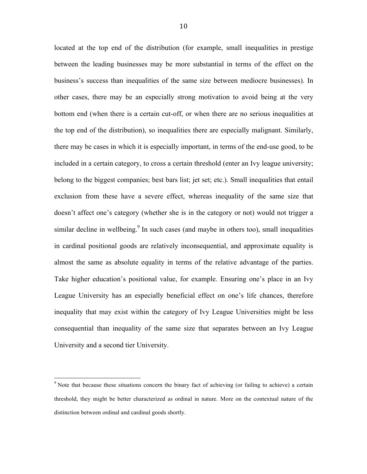located at the top end of the distribution (for example, small inequalities in prestige between the leading businesses may be more substantial in terms of the effect on the business's success than inequalities of the same size between mediocre businesses). In other cases, there may be an especially strong motivation to avoid being at the very bottom end (when there is a certain cut-off, or when there are no serious inequalities at the top end of the distribution), so inequalities there are especially malignant. Similarly, there may be cases in which it is especially important, in terms of the end-use good, to be included in a certain category, to cross a certain threshold (enter an Ivy league university; belong to the biggest companies; best bars list; jet set; etc.). Small inequalities that entail exclusion from these have a severe effect, whereas inequality of the same size that doesn't affect one's category (whether she is in the category or not) would not trigger a similar decline in wellbeing. $9$  In such cases (and maybe in others too), small inequalities in cardinal positional goods are relatively inconsequential, and approximate equality is almost the same as absolute equality in terms of the relative advantage of the parties. Take higher education's positional value, for example. Ensuring one's place in an Ivy League University has an especially beneficial effect on one's life chances, therefore inequality that may exist within the category of Ivy League Universities might be less consequential than inequality of the same size that separates between an Ivy League University and a second tier University.

<sup>&</sup>lt;sup>9</sup> Note that because these situations concern the binary fact of achieving (or failing to achieve) a certain threshold, they might be better characterized as ordinal in nature. More on the contextual nature of the distinction between ordinal and cardinal goods shortly.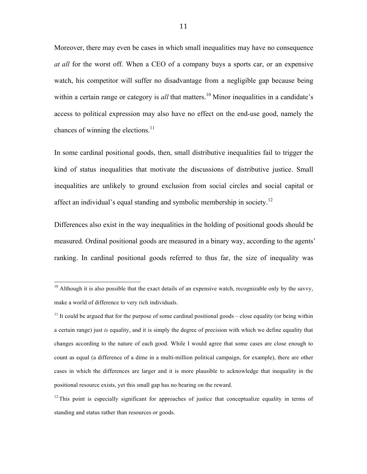Moreover, there may even be cases in which small inequalities may have no consequence *at all* for the worst off. When a CEO of a company buys a sports car, or an expensive watch, his competitor will suffer no disadvantage from a negligible gap because being within a certain range or category is *all* that matters.<sup>10</sup> Minor inequalities in a candidate's access to political expression may also have no effect on the end-use good, namely the chances of winning the elections. $^{11}$ 

In some cardinal positional goods, then, small distributive inequalities fail to trigger the kind of status inequalities that motivate the discussions of distributive justice. Small inequalities are unlikely to ground exclusion from social circles and social capital or affect an individual's equal standing and symbolic membership in society.<sup>12</sup>

Differences also exist in the way inequalities in the holding of positional goods should be measured. Ordinal positional goods are measured in a binary way, according to the agents' ranking. In cardinal positional goods referred to thus far, the size of inequality was

 $11$  It could be argued that for the purpose of some cardinal positional goods – close equality (or being within a certain range) just *is* equality, and it is simply the degree of precision with which we define equality that changes according to the nature of each good. While I would agree that some cases are close enough to count as equal (a difference of a dime in a multi-million political campaign, for example), there are other cases in which the differences are larger and it is more plausible to acknowledge that inequality in the positional resource exists, yet this small gap has no bearing on the reward.

 $10$  Although it is also possible that the exact details of an expensive watch, recognizable only by the savvy, make a world of difference to very rich individuals.

 $12$  This point is especially significant for approaches of justice that conceptualize equality in terms of standing and status rather than resources or goods.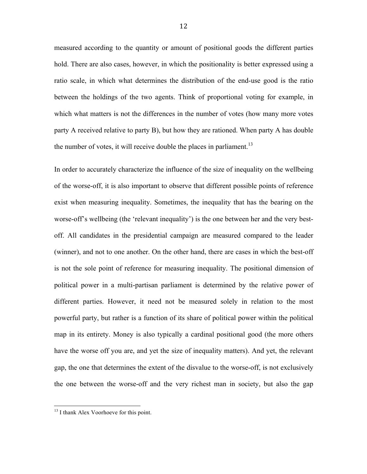measured according to the quantity or amount of positional goods the different parties hold. There are also cases, however, in which the positionality is better expressed using a ratio scale, in which what determines the distribution of the end-use good is the ratio between the holdings of the two agents. Think of proportional voting for example, in which what matters is not the differences in the number of votes (how many more votes party A received relative to party B), but how they are rationed. When party A has double the number of votes, it will receive double the places in parliament.<sup>13</sup>

In order to accurately characterize the influence of the size of inequality on the wellbeing of the worse-off, it is also important to observe that different possible points of reference exist when measuring inequality. Sometimes, the inequality that has the bearing on the worse-off's wellbeing (the 'relevant inequality') is the one between her and the very bestoff. All candidates in the presidential campaign are measured compared to the leader (winner), and not to one another. On the other hand, there are cases in which the best-off is not the sole point of reference for measuring inequality. The positional dimension of political power in a multi-partisan parliament is determined by the relative power of different parties. However, it need not be measured solely in relation to the most powerful party, but rather is a function of its share of political power within the political map in its entirety. Money is also typically a cardinal positional good (the more others have the worse off you are, and yet the size of inequality matters). And yet, the relevant gap, the one that determines the extent of the disvalue to the worse-off, is not exclusively the one between the worse-off and the very richest man in society, but also the gap

<sup>&</sup>lt;sup>13</sup> I thank Alex Voorhoeve for this point.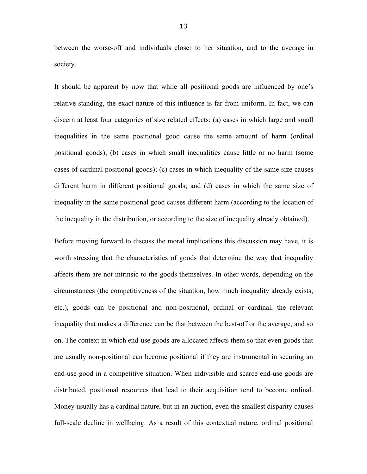between the worse-off and individuals closer to her situation, and to the average in society.

It should be apparent by now that while all positional goods are influenced by one's relative standing, the exact nature of this influence is far from uniform. In fact, we can discern at least four categories of size related effects: (a) cases in which large and small inequalities in the same positional good cause the same amount of harm (ordinal positional goods); (b) cases in which small inequalities cause little or no harm (some cases of cardinal positional goods); (c) cases in which inequality of the same size causes different harm in different positional goods; and (d) cases in which the same size of inequality in the same positional good causes different harm (according to the location of the inequality in the distribution, or according to the size of inequality already obtained).

Before moving forward to discuss the moral implications this discussion may have, it is worth stressing that the characteristics of goods that determine the way that inequality affects them are not intrinsic to the goods themselves. In other words, depending on the circumstances (the competitiveness of the situation, how much inequality already exists, etc.), goods can be positional and non-positional, ordinal or cardinal, the relevant inequality that makes a difference can be that between the best-off or the average, and so on. The context in which end-use goods are allocated affects them so that even goods that are usually non-positional can become positional if they are instrumental in securing an end-use good in a competitive situation. When indivisible and scarce end-use goods are distributed, positional resources that lead to their acquisition tend to become ordinal. Money usually has a cardinal nature, but in an auction, even the smallest disparity causes full-scale decline in wellbeing. As a result of this contextual nature, ordinal positional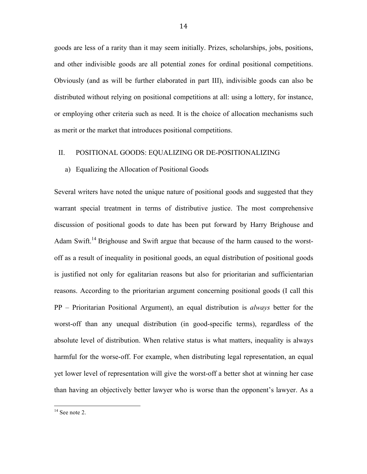goods are less of a rarity than it may seem initially. Prizes, scholarships, jobs, positions, and other indivisible goods are all potential zones for ordinal positional competitions. Obviously (and as will be further elaborated in part III), indivisible goods can also be distributed without relying on positional competitions at all: using a lottery, for instance, or employing other criteria such as need. It is the choice of allocation mechanisms such as merit or the market that introduces positional competitions.

# II. POSITIONAL GOODS: EQUALIZING OR DE-POSITIONALIZING

## a) Equalizing the Allocation of Positional Goods

Several writers have noted the unique nature of positional goods and suggested that they warrant special treatment in terms of distributive justice. The most comprehensive discussion of positional goods to date has been put forward by Harry Brighouse and Adam Swift.<sup>14</sup> Brighouse and Swift argue that because of the harm caused to the worstoff as a result of inequality in positional goods, an equal distribution of positional goods is justified not only for egalitarian reasons but also for prioritarian and sufficientarian reasons. According to the prioritarian argument concerning positional goods (I call this PP – Prioritarian Positional Argument), an equal distribution is *always* better for the worst-off than any unequal distribution (in good-specific terms), regardless of the absolute level of distribution. When relative status is what matters, inequality is always harmful for the worse-off. For example, when distributing legal representation, an equal yet lower level of representation will give the worst-off a better shot at winning her case than having an objectively better lawyer who is worse than the opponent's lawyer. As a

 $14$  See note 2.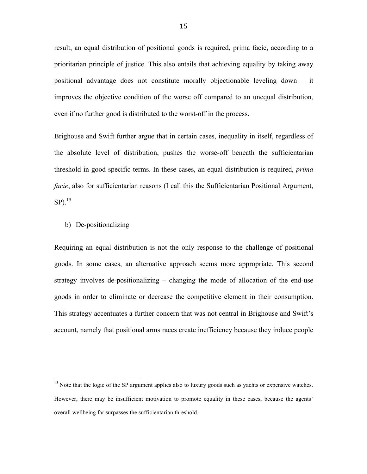result, an equal distribution of positional goods is required, prima facie, according to a prioritarian principle of justice. This also entails that achieving equality by taking away positional advantage does not constitute morally objectionable leveling down – it improves the objective condition of the worse off compared to an unequal distribution, even if no further good is distributed to the worst-off in the process.

Brighouse and Swift further argue that in certain cases, inequality in itself, regardless of the absolute level of distribution, pushes the worse-off beneath the sufficientarian threshold in good specific terms. In these cases, an equal distribution is required, *prima facie*, also for sufficientarian reasons (I call this the Sufficientarian Positional Argument,  $SP<sup>15</sup>$ 

### b) De-positionalizing

Requiring an equal distribution is not the only response to the challenge of positional goods. In some cases, an alternative approach seems more appropriate. This second strategy involves de-positionalizing – changing the mode of allocation of the end-use goods in order to eliminate or decrease the competitive element in their consumption. This strategy accentuates a further concern that was not central in Brighouse and Swift's account, namely that positional arms races create inefficiency because they induce people

<sup>&</sup>lt;sup>15</sup> Note that the logic of the SP argument applies also to luxury goods such as yachts or expensive watches. However, there may be insufficient motivation to promote equality in these cases, because the agents' overall wellbeing far surpasses the sufficientarian threshold.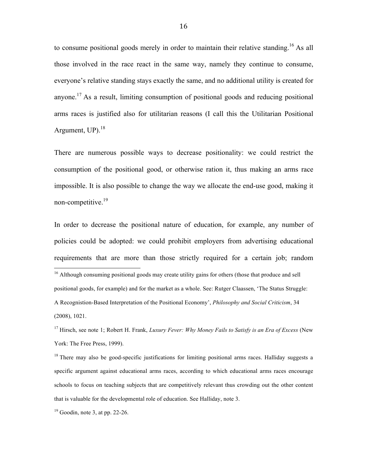to consume positional goods merely in order to maintain their relative standing.<sup>16</sup> As all those involved in the race react in the same way, namely they continue to consume, everyone's relative standing stays exactly the same, and no additional utility is created for anyone.<sup>17</sup> As a result, limiting consumption of positional goods and reducing positional arms races is justified also for utilitarian reasons (I call this the Utilitarian Positional Argument,  $UP$ ).<sup>18</sup>

There are numerous possible ways to decrease positionality: we could restrict the consumption of the positional good, or otherwise ration it, thus making an arms race impossible. It is also possible to change the way we allocate the end-use good, making it non-competitive.<sup>19</sup>

In order to decrease the positional nature of education, for example, any number of policies could be adopted: we could prohibit employers from advertising educational requirements that are more than those strictly required for a certain job; random

 $19$  Goodin, note 3, at pp. 22-26.

<sup>&</sup>lt;sup>16</sup> Although consuming positional goods may create utility gains for others (those that produce and sell positional goods, for example) and for the market as a whole. See: Rutger Claassen, 'The Status Struggle: A Recognistion-Based Interpretation of the Positional Economy', *Philosophy and Social Criticism*, 34 (2008), 1021.

<sup>17</sup> Hirsch, see note 1; Robert H. Frank, *Luxury Fever: Why Money Fails to Satisfy is an Era of Excess* (New York: The Free Press, 1999).

<sup>&</sup>lt;sup>18</sup> There may also be good-specific justifications for limiting positional arms races. Halliday suggests a specific argument against educational arms races, according to which educational arms races encourage schools to focus on teaching subjects that are competitively relevant thus crowding out the other content that is valuable for the developmental role of education. See Halliday, note 3.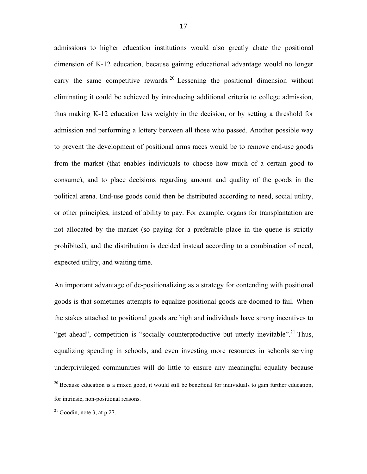admissions to higher education institutions would also greatly abate the positional dimension of K-12 education, because gaining educational advantage would no longer carry the same competitive rewards. <sup>20</sup> Lessening the positional dimension without eliminating it could be achieved by introducing additional criteria to college admission, thus making K-12 education less weighty in the decision, or by setting a threshold for admission and performing a lottery between all those who passed. Another possible way to prevent the development of positional arms races would be to remove end-use goods from the market (that enables individuals to choose how much of a certain good to consume), and to place decisions regarding amount and quality of the goods in the political arena. End-use goods could then be distributed according to need, social utility, or other principles, instead of ability to pay. For example, organs for transplantation are not allocated by the market (so paying for a preferable place in the queue is strictly prohibited), and the distribution is decided instead according to a combination of need, expected utility, and waiting time.

An important advantage of de-positionalizing as a strategy for contending with positional goods is that sometimes attempts to equalize positional goods are doomed to fail. When the stakes attached to positional goods are high and individuals have strong incentives to "get ahead", competition is "socially counterproductive but utterly inevitable".<sup>21</sup> Thus, equalizing spending in schools, and even investing more resources in schools serving underprivileged communities will do little to ensure any meaningful equality because

 $20$  Because education is a mixed good, it would still be beneficial for individuals to gain further education, for intrinsic, non-positional reasons.

 $21$  Goodin, note 3, at p.27.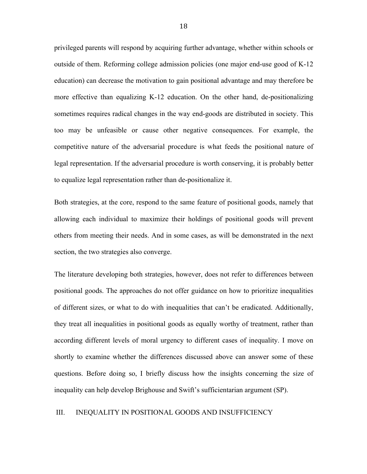privileged parents will respond by acquiring further advantage, whether within schools or outside of them. Reforming college admission policies (one major end-use good of K-12 education) can decrease the motivation to gain positional advantage and may therefore be more effective than equalizing K-12 education. On the other hand, de-positionalizing sometimes requires radical changes in the way end-goods are distributed in society. This too may be unfeasible or cause other negative consequences. For example, the competitive nature of the adversarial procedure is what feeds the positional nature of legal representation. If the adversarial procedure is worth conserving, it is probably better to equalize legal representation rather than de-positionalize it.

Both strategies, at the core, respond to the same feature of positional goods, namely that allowing each individual to maximize their holdings of positional goods will prevent others from meeting their needs. And in some cases, as will be demonstrated in the next section, the two strategies also converge.

The literature developing both strategies, however, does not refer to differences between positional goods. The approaches do not offer guidance on how to prioritize inequalities of different sizes, or what to do with inequalities that can't be eradicated. Additionally, they treat all inequalities in positional goods as equally worthy of treatment, rather than according different levels of moral urgency to different cases of inequality. I move on shortly to examine whether the differences discussed above can answer some of these questions. Before doing so, I briefly discuss how the insights concerning the size of inequality can help develop Brighouse and Swift's sufficientarian argument (SP).

# III. INEQUALITY IN POSITIONAL GOODS AND INSUFFICIENCY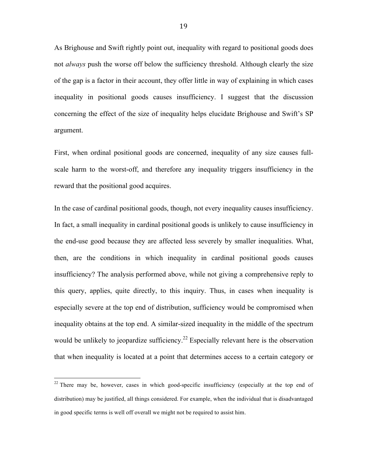As Brighouse and Swift rightly point out, inequality with regard to positional goods does not *always* push the worse off below the sufficiency threshold. Although clearly the size of the gap is a factor in their account, they offer little in way of explaining in which cases inequality in positional goods causes insufficiency. I suggest that the discussion concerning the effect of the size of inequality helps elucidate Brighouse and Swift's SP argument.

First, when ordinal positional goods are concerned, inequality of any size causes fullscale harm to the worst-off, and therefore any inequality triggers insufficiency in the reward that the positional good acquires.

In the case of cardinal positional goods, though, not every inequality causes insufficiency. In fact, a small inequality in cardinal positional goods is unlikely to cause insufficiency in the end-use good because they are affected less severely by smaller inequalities. What, then, are the conditions in which inequality in cardinal positional goods causes insufficiency? The analysis performed above, while not giving a comprehensive reply to this query, applies, quite directly, to this inquiry. Thus, in cases when inequality is especially severe at the top end of distribution, sufficiency would be compromised when inequality obtains at the top end. A similar-sized inequality in the middle of the spectrum would be unlikely to jeopardize sufficiency.<sup>22</sup> Especially relevant here is the observation that when inequality is located at a point that determines access to a certain category or

<sup>&</sup>lt;sup>22</sup> There may be, however, cases in which good-specific insufficiency (especially at the top end of distribution) may be justified, all things considered. For example, when the individual that is disadvantaged in good specific terms is well off overall we might not be required to assist him.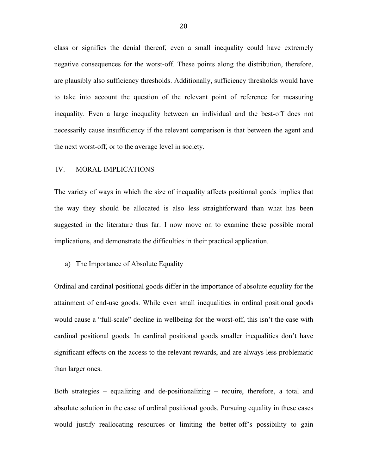class or signifies the denial thereof, even a small inequality could have extremely negative consequences for the worst-off. These points along the distribution, therefore, are plausibly also sufficiency thresholds. Additionally, sufficiency thresholds would have to take into account the question of the relevant point of reference for measuring inequality. Even a large inequality between an individual and the best-off does not necessarily cause insufficiency if the relevant comparison is that between the agent and the next worst-off, or to the average level in society.

# IV. MORAL IMPLICATIONS

The variety of ways in which the size of inequality affects positional goods implies that the way they should be allocated is also less straightforward than what has been suggested in the literature thus far. I now move on to examine these possible moral implications, and demonstrate the difficulties in their practical application.

a) The Importance of Absolute Equality

Ordinal and cardinal positional goods differ in the importance of absolute equality for the attainment of end-use goods. While even small inequalities in ordinal positional goods would cause a "full-scale" decline in wellbeing for the worst-off, this isn't the case with cardinal positional goods. In cardinal positional goods smaller inequalities don't have significant effects on the access to the relevant rewards, and are always less problematic than larger ones.

Both strategies – equalizing and de-positionalizing – require, therefore, a total and absolute solution in the case of ordinal positional goods. Pursuing equality in these cases would justify reallocating resources or limiting the better-off's possibility to gain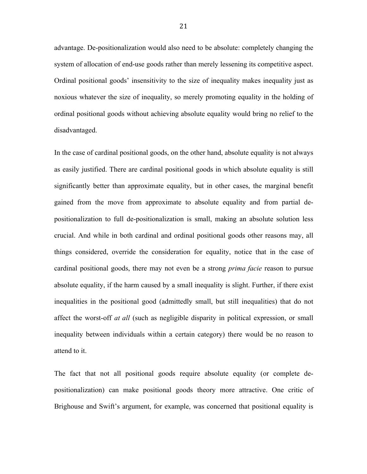advantage. De-positionalization would also need to be absolute: completely changing the system of allocation of end-use goods rather than merely lessening its competitive aspect. Ordinal positional goods' insensitivity to the size of inequality makes inequality just as noxious whatever the size of inequality, so merely promoting equality in the holding of ordinal positional goods without achieving absolute equality would bring no relief to the disadvantaged.

In the case of cardinal positional goods, on the other hand, absolute equality is not always as easily justified. There are cardinal positional goods in which absolute equality is still significantly better than approximate equality, but in other cases, the marginal benefit gained from the move from approximate to absolute equality and from partial depositionalization to full de-positionalization is small, making an absolute solution less crucial. And while in both cardinal and ordinal positional goods other reasons may, all things considered, override the consideration for equality, notice that in the case of cardinal positional goods, there may not even be a strong *prima facie* reason to pursue absolute equality, if the harm caused by a small inequality is slight. Further, if there exist inequalities in the positional good (admittedly small, but still inequalities) that do not affect the worst-off *at all* (such as negligible disparity in political expression, or small inequality between individuals within a certain category) there would be no reason to attend to it.

The fact that not all positional goods require absolute equality (or complete depositionalization) can make positional goods theory more attractive. One critic of Brighouse and Swift's argument, for example, was concerned that positional equality is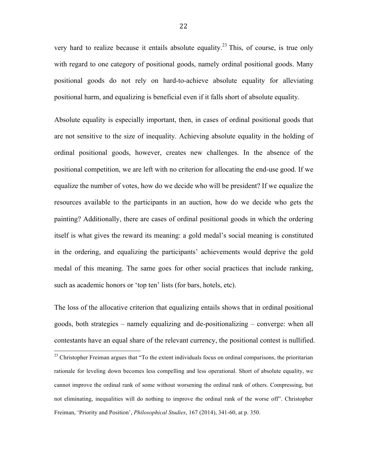very hard to realize because it entails absolute equality.<sup>23</sup> This, of course, is true only with regard to one category of positional goods, namely ordinal positional goods. Many positional goods do not rely on hard-to-achieve absolute equality for alleviating positional harm, and equalizing is beneficial even if it falls short of absolute equality.

Absolute equality is especially important, then, in cases of ordinal positional goods that are not sensitive to the size of inequality. Achieving absolute equality in the holding of ordinal positional goods, however, creates new challenges. In the absence of the positional competition, we are left with no criterion for allocating the end-use good. If we equalize the number of votes, how do we decide who will be president? If we equalize the resources available to the participants in an auction, how do we decide who gets the painting? Additionally, there are cases of ordinal positional goods in which the ordering itself is what gives the reward its meaning: a gold medal's social meaning is constituted in the ordering, and equalizing the participants' achievements would deprive the gold medal of this meaning. The same goes for other social practices that include ranking, such as academic honors or 'top ten' lists (for bars, hotels, etc).

The loss of the allocative criterion that equalizing entails shows that in ordinal positional goods, both strategies – namely equalizing and de-positionalizing – converge: when all contestants have an equal share of the relevant currency, the positional contest is nullified.

 $^{23}$  Christopher Freiman argues that "To the extent individuals focus on ordinal comparisons, the prioritarian rationale for leveling down becomes less compelling and less operational. Short of absolute equality, we cannot improve the ordinal rank of some without worsening the ordinal rank of others. Compressing, but not eliminating, inequalities will do nothing to improve the ordinal rank of the worse off". Christopher Freiman, 'Priority and Position', *Philosophical Studies*, 167 (2014), 341-60, at p. 350.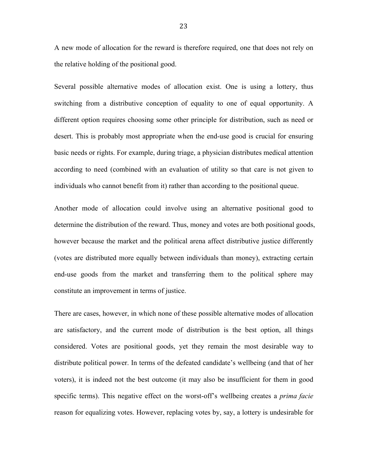A new mode of allocation for the reward is therefore required, one that does not rely on the relative holding of the positional good.

Several possible alternative modes of allocation exist. One is using a lottery, thus switching from a distributive conception of equality to one of equal opportunity. A different option requires choosing some other principle for distribution, such as need or desert. This is probably most appropriate when the end-use good is crucial for ensuring basic needs or rights. For example, during triage, a physician distributes medical attention according to need (combined with an evaluation of utility so that care is not given to individuals who cannot benefit from it) rather than according to the positional queue.

Another mode of allocation could involve using an alternative positional good to determine the distribution of the reward. Thus, money and votes are both positional goods, however because the market and the political arena affect distributive justice differently (votes are distributed more equally between individuals than money), extracting certain end-use goods from the market and transferring them to the political sphere may constitute an improvement in terms of justice.

There are cases, however, in which none of these possible alternative modes of allocation are satisfactory, and the current mode of distribution is the best option, all things considered. Votes are positional goods, yet they remain the most desirable way to distribute political power. In terms of the defeated candidate's wellbeing (and that of her voters), it is indeed not the best outcome (it may also be insufficient for them in good specific terms). This negative effect on the worst-off's wellbeing creates a *prima facie* reason for equalizing votes. However, replacing votes by, say, a lottery is undesirable for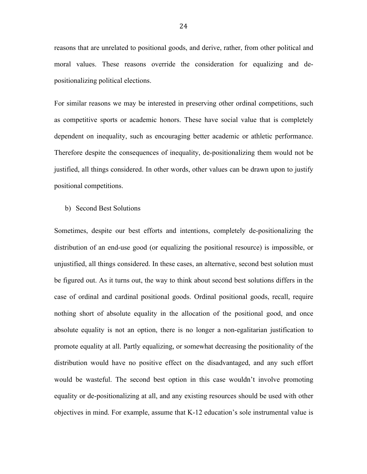reasons that are unrelated to positional goods, and derive, rather, from other political and moral values. These reasons override the consideration for equalizing and depositionalizing political elections.

For similar reasons we may be interested in preserving other ordinal competitions, such as competitive sports or academic honors. These have social value that is completely dependent on inequality, such as encouraging better academic or athletic performance. Therefore despite the consequences of inequality, de-positionalizing them would not be justified, all things considered. In other words, other values can be drawn upon to justify positional competitions.

b) Second Best Solutions

Sometimes, despite our best efforts and intentions, completely de-positionalizing the distribution of an end-use good (or equalizing the positional resource) is impossible, or unjustified, all things considered. In these cases, an alternative, second best solution must be figured out. As it turns out, the way to think about second best solutions differs in the case of ordinal and cardinal positional goods. Ordinal positional goods, recall, require nothing short of absolute equality in the allocation of the positional good, and once absolute equality is not an option, there is no longer a non-egalitarian justification to promote equality at all. Partly equalizing, or somewhat decreasing the positionality of the distribution would have no positive effect on the disadvantaged, and any such effort would be wasteful. The second best option in this case wouldn't involve promoting equality or de-positionalizing at all, and any existing resources should be used with other objectives in mind. For example, assume that K-12 education's sole instrumental value is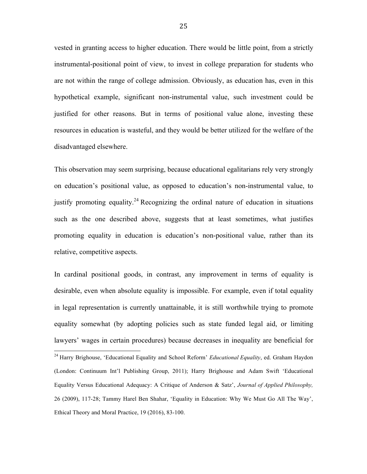vested in granting access to higher education. There would be little point, from a strictly instrumental-positional point of view, to invest in college preparation for students who are not within the range of college admission. Obviously, as education has, even in this hypothetical example, significant non-instrumental value, such investment could be justified for other reasons. But in terms of positional value alone, investing these resources in education is wasteful, and they would be better utilized for the welfare of the disadvantaged elsewhere.

This observation may seem surprising, because educational egalitarians rely very strongly on education's positional value, as opposed to education's non-instrumental value, to justify promoting equality.<sup>24</sup> Recognizing the ordinal nature of education in situations such as the one described above, suggests that at least sometimes, what justifies promoting equality in education is education's non-positional value, rather than its relative, competitive aspects.

In cardinal positional goods, in contrast, any improvement in terms of equality is desirable, even when absolute equality is impossible. For example, even if total equality in legal representation is currently unattainable, it is still worthwhile trying to promote equality somewhat (by adopting policies such as state funded legal aid, or limiting lawyers' wages in certain procedures) because decreases in inequality are beneficial for

 <sup>24</sup> Harry Brighouse, 'Educational Equality and School Reform' *Educational Equality*, ed. Graham Haydon (London: Continuum Int'l Publishing Group, 2011); Harry Brighouse and Adam Swift 'Educational Equality Versus Educational Adequacy: A Critique of Anderson & Satz', *Journal of Applied Philosophy,* 26 (2009), 117-28; Tammy Harel Ben Shahar, 'Equality in Education: Why We Must Go All The Way', Ethical Theory and Moral Practice, 19 (2016), 83-100.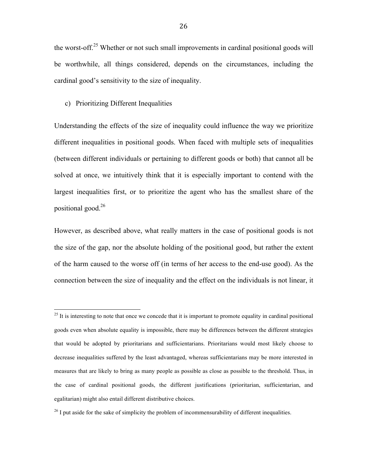the worst-off.25 Whether or not such small improvements in cardinal positional goods will be worthwhile, all things considered, depends on the circumstances, including the cardinal good's sensitivity to the size of inequality.

c) Prioritizing Different Inequalities

Understanding the effects of the size of inequality could influence the way we prioritize different inequalities in positional goods. When faced with multiple sets of inequalities (between different individuals or pertaining to different goods or both) that cannot all be solved at once, we intuitively think that it is especially important to contend with the largest inequalities first, or to prioritize the agent who has the smallest share of the positional good.26

However, as described above, what really matters in the case of positional goods is not the size of the gap, nor the absolute holding of the positional good, but rather the extent of the harm caused to the worse off (in terms of her access to the end-use good). As the connection between the size of inequality and the effect on the individuals is not linear, it

 $^{25}$  It is interesting to note that once we concede that it is important to promote equality in cardinal positional goods even when absolute equality is impossible, there may be differences between the different strategies that would be adopted by prioritarians and sufficientarians. Prioritarians would most likely choose to decrease inequalities suffered by the least advantaged, whereas sufficientarians may be more interested in measures that are likely to bring as many people as possible as close as possible to the threshold. Thus, in the case of cardinal positional goods, the different justifications (prioritarian, sufficientarian, and egalitarian) might also entail different distributive choices.

 $^{26}$  I put aside for the sake of simplicity the problem of incommensurability of different inequalities.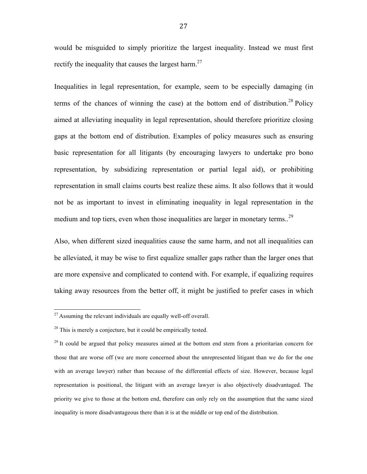would be misguided to simply prioritize the largest inequality. Instead we must first rectify the inequality that causes the largest harm.<sup>27</sup>

Inequalities in legal representation, for example, seem to be especially damaging (in terms of the chances of winning the case) at the bottom end of distribution.<sup>28</sup> Policy aimed at alleviating inequality in legal representation, should therefore prioritize closing gaps at the bottom end of distribution. Examples of policy measures such as ensuring basic representation for all litigants (by encouraging lawyers to undertake pro bono representation, by subsidizing representation or partial legal aid), or prohibiting representation in small claims courts best realize these aims. It also follows that it would not be as important to invest in eliminating inequality in legal representation in the medium and top tiers, even when those inequalities are larger in monetary terms..<sup>29</sup>

Also, when different sized inequalities cause the same harm, and not all inequalities can be alleviated, it may be wise to first equalize smaller gaps rather than the larger ones that are more expensive and complicated to contend with. For example, if equalizing requires taking away resources from the better off, it might be justified to prefer cases in which

 $27$  Assuming the relevant individuals are equally well-off overall.

 $28$  This is merely a conjecture, but it could be empirically tested.

<sup>&</sup>lt;sup>29</sup> It could be argued that policy measures aimed at the bottom end stem from a prioritarian concern for those that are worse off (we are more concerned about the unrepresented litigant than we do for the one with an average lawyer) rather than because of the differential effects of size. However, because legal representation is positional, the litigant with an average lawyer is also objectively disadvantaged. The priority we give to those at the bottom end, therefore can only rely on the assumption that the same sized inequality is more disadvantageous there than it is at the middle or top end of the distribution.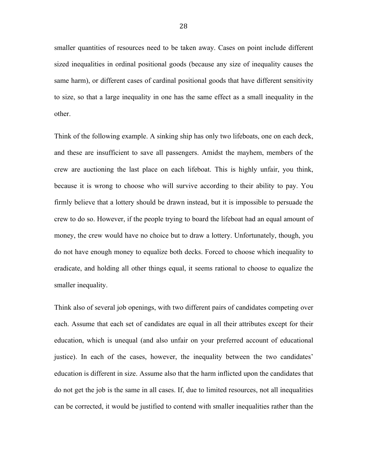smaller quantities of resources need to be taken away. Cases on point include different sized inequalities in ordinal positional goods (because any size of inequality causes the same harm), or different cases of cardinal positional goods that have different sensitivity to size, so that a large inequality in one has the same effect as a small inequality in the other.

Think of the following example. A sinking ship has only two lifeboats, one on each deck, and these are insufficient to save all passengers. Amidst the mayhem, members of the crew are auctioning the last place on each lifeboat. This is highly unfair, you think, because it is wrong to choose who will survive according to their ability to pay. You firmly believe that a lottery should be drawn instead, but it is impossible to persuade the crew to do so. However, if the people trying to board the lifeboat had an equal amount of money, the crew would have no choice but to draw a lottery. Unfortunately, though, you do not have enough money to equalize both decks. Forced to choose which inequality to eradicate, and holding all other things equal, it seems rational to choose to equalize the smaller inequality.

Think also of several job openings, with two different pairs of candidates competing over each. Assume that each set of candidates are equal in all their attributes except for their education, which is unequal (and also unfair on your preferred account of educational justice). In each of the cases, however, the inequality between the two candidates' education is different in size. Assume also that the harm inflicted upon the candidates that do not get the job is the same in all cases. If, due to limited resources, not all inequalities can be corrected, it would be justified to contend with smaller inequalities rather than the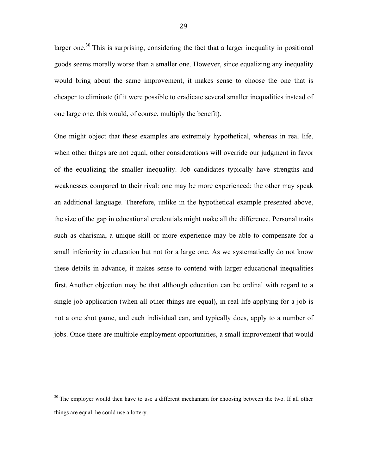larger one.<sup>30</sup> This is surprising, considering the fact that a larger inequality in positional goods seems morally worse than a smaller one. However, since equalizing any inequality would bring about the same improvement, it makes sense to choose the one that is cheaper to eliminate (if it were possible to eradicate several smaller inequalities instead of one large one, this would, of course, multiply the benefit).

One might object that these examples are extremely hypothetical, whereas in real life, when other things are not equal, other considerations will override our judgment in favor of the equalizing the smaller inequality. Job candidates typically have strengths and weaknesses compared to their rival: one may be more experienced; the other may speak an additional language. Therefore, unlike in the hypothetical example presented above, the size of the gap in educational credentials might make all the difference. Personal traits such as charisma, a unique skill or more experience may be able to compensate for a small inferiority in education but not for a large one. As we systematically do not know these details in advance, it makes sense to contend with larger educational inequalities first. Another objection may be that although education can be ordinal with regard to a single job application (when all other things are equal), in real life applying for a job is not a one shot game, and each individual can, and typically does, apply to a number of jobs. Once there are multiple employment opportunities, a small improvement that would

<sup>&</sup>lt;sup>30</sup> The employer would then have to use a different mechanism for choosing between the two. If all other things are equal, he could use a lottery.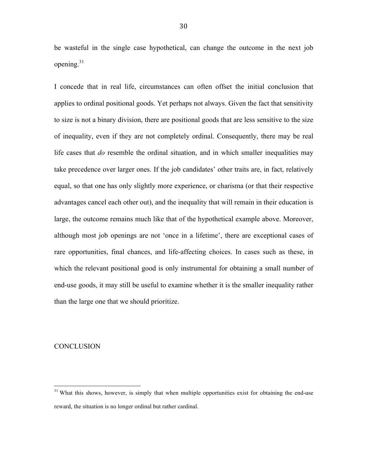be wasteful in the single case hypothetical, can change the outcome in the next job opening. $31$ 

I concede that in real life, circumstances can often offset the initial conclusion that applies to ordinal positional goods. Yet perhaps not always. Given the fact that sensitivity to size is not a binary division, there are positional goods that are less sensitive to the size of inequality, even if they are not completely ordinal. Consequently, there may be real life cases that *do* resemble the ordinal situation, and in which smaller inequalities may take precedence over larger ones. If the job candidates' other traits are, in fact, relatively equal, so that one has only slightly more experience, or charisma (or that their respective advantages cancel each other out), and the inequality that will remain in their education is large, the outcome remains much like that of the hypothetical example above. Moreover, although most job openings are not 'once in a lifetime', there are exceptional cases of rare opportunities, final chances, and life-affecting choices. In cases such as these, in which the relevant positional good is only instrumental for obtaining a small number of end-use goods, it may still be useful to examine whether it is the smaller inequality rather than the large one that we should prioritize.

## **CONCLUSION**

<sup>&</sup>lt;sup>31</sup> What this shows, however, is simply that when multiple opportunities exist for obtaining the end-use reward, the situation is no longer ordinal but rather cardinal.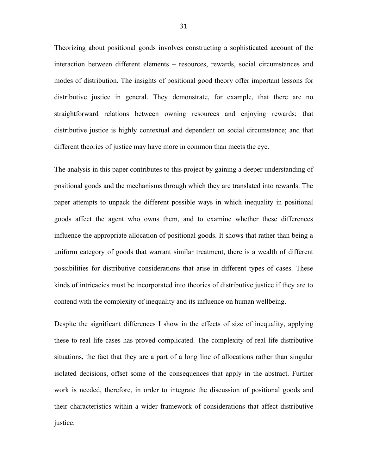Theorizing about positional goods involves constructing a sophisticated account of the interaction between different elements – resources, rewards, social circumstances and modes of distribution. The insights of positional good theory offer important lessons for distributive justice in general. They demonstrate, for example, that there are no straightforward relations between owning resources and enjoying rewards; that distributive justice is highly contextual and dependent on social circumstance; and that different theories of justice may have more in common than meets the eye.

The analysis in this paper contributes to this project by gaining a deeper understanding of positional goods and the mechanisms through which they are translated into rewards. The paper attempts to unpack the different possible ways in which inequality in positional goods affect the agent who owns them, and to examine whether these differences influence the appropriate allocation of positional goods. It shows that rather than being a uniform category of goods that warrant similar treatment, there is a wealth of different possibilities for distributive considerations that arise in different types of cases. These kinds of intricacies must be incorporated into theories of distributive justice if they are to contend with the complexity of inequality and its influence on human wellbeing.

Despite the significant differences I show in the effects of size of inequality, applying these to real life cases has proved complicated. The complexity of real life distributive situations, the fact that they are a part of a long line of allocations rather than singular isolated decisions, offset some of the consequences that apply in the abstract. Further work is needed, therefore, in order to integrate the discussion of positional goods and their characteristics within a wider framework of considerations that affect distributive justice.